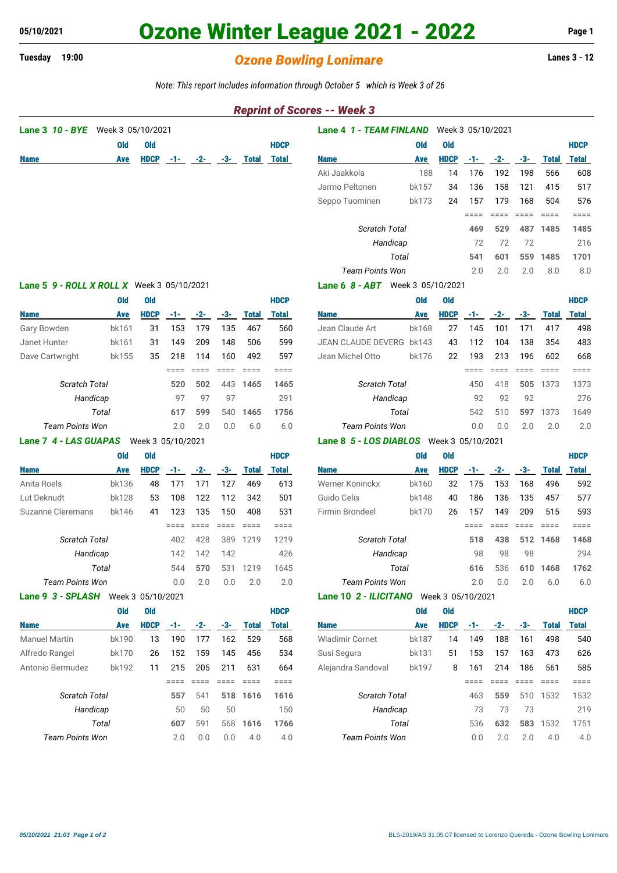# **05/10/2021 Ozone Winter League 2021 - 2022 Page 1**

## **Tuesday 19:00** *Ozone Bowling Lonimare* **Lanes 3 - 12**

*Note: This report includes information through October 5 which is Week 3 of 26*

### *Reprint of Scores -- Week 3*

| Lane 3 10 - BYE                                   | Week 3 05/10/2021 |             |                 |                 |                 |                               | Lane 4 1 - TEAM FINLAND<br>Week 3 05/10/2021 |                                          |            |             |                                                |                 |                 |                 |                                                                            |  |
|---------------------------------------------------|-------------------|-------------|-----------------|-----------------|-----------------|-------------------------------|----------------------------------------------|------------------------------------------|------------|-------------|------------------------------------------------|-----------------|-----------------|-----------------|----------------------------------------------------------------------------|--|
|                                                   | <b>Old</b>        | <b>Old</b>  |                 |                 |                 |                               | <b>HDCP</b>                                  |                                          | <b>Old</b> | <b>Old</b>  |                                                |                 |                 |                 | <b>HDCP</b>                                                                |  |
| <b>Name</b>                                       | Ave               | <b>HDCP</b> | -1-             | $-2-$           | -3-             | <b>Total</b>                  | <b>Total</b>                                 | <b>Name</b>                              | <b>Ave</b> | <b>HDCP</b> | $-1-$                                          | $-2-$           | $-3-$           | <b>Total</b>    | <b>Total</b>                                                               |  |
|                                                   |                   |             |                 |                 |                 |                               |                                              | Aki Jaakkola                             | 188        | 14          | 176                                            | 192             | 198             | 566             | 608                                                                        |  |
|                                                   |                   |             |                 |                 |                 |                               |                                              | Jarmo Peltonen                           | bk157      | 34          | 136                                            | 158             | 121             | 415             | 517                                                                        |  |
|                                                   |                   |             |                 |                 |                 |                               |                                              | Seppo Tuominen                           | bk173      | 24          | 157                                            | 179             | 168             | 504             | 576                                                                        |  |
|                                                   |                   |             |                 |                 |                 |                               |                                              |                                          |            |             | $=$ $=$ $=$ $=$                                | $=$ $=$ $=$ $=$ | $=$ $=$ $=$ $=$ | $=$ $=$ $=$     | $=$ $=$ $=$ $=$                                                            |  |
|                                                   |                   |             |                 |                 |                 |                               |                                              | Scratch Total                            |            |             | 469                                            | 529             | 487             | 1485            | 1485                                                                       |  |
|                                                   |                   |             |                 |                 |                 |                               |                                              | Handicap                                 |            |             | 72                                             | 72              | 72              |                 | 216                                                                        |  |
|                                                   |                   |             |                 |                 |                 |                               |                                              |                                          | Total      |             | 541                                            | 601             | 559             | 1485            | 1701                                                                       |  |
|                                                   |                   |             |                 |                 |                 |                               |                                              | <b>Team Points Won</b>                   |            |             | 2.0                                            | 2.0             | 2.0             | 8.0             | 8.0                                                                        |  |
| <b>Lane 5 9 - ROLL X ROLL X</b> Week 3 05/10/2021 |                   |             |                 |                 |                 |                               |                                              | Lane 6 8 - ABT Week 3 05/10/2021         |            |             |                                                |                 |                 |                 |                                                                            |  |
|                                                   | <b>Old</b>        | <b>Old</b>  |                 |                 |                 |                               | <b>HDCP</b>                                  |                                          | <b>Old</b> | <b>Old</b>  |                                                |                 |                 |                 | <b>HDCP</b>                                                                |  |
| <b>Name</b>                                       | Ave               | <b>HDCP</b> | $-1-$           | $-2-$           | -3-             | <b>Total</b>                  | <b>Total</b>                                 | <b>Name</b>                              | Ave        | <b>HDCP</b> | $-1-$                                          | $-2-$           | $-3-$           | <b>Total</b>    | <b>Total</b>                                                               |  |
| Gary Bowden                                       | bk161             | 31          | 153             | 179             | 135             | 467                           | 560                                          | Jean Claude Art                          | bk168      | 27          | 145                                            | 101             | 171             | 417             | 498                                                                        |  |
| Janet Hunter                                      | bk161             | 31          | 149             | 209             | 148             | 506                           | 599                                          | JEAN CLAUDE DEVERG bk143                 |            | 43          | 112                                            | 104             | 138             | 354             | 483                                                                        |  |
| Dave Cartwright                                   | bk155             | 35          | 218             | 114             | 160             | 492                           | 597                                          | Jean Michel Otto                         | bk176      | 22          | 193                                            | 213             | 196             | 602             | 668                                                                        |  |
|                                                   |                   |             | $=$ $=$ $=$ $=$ | $=$ $=$ $=$ $=$ | $=$ $=$ $=$ $=$ | $=$ $=$ $=$ $=$               | $=$ $=$ $=$ $=$                              |                                          |            |             | $=$ $=$ $=$ $=$                                | $=$ $=$ $=$ $=$ | $=$ $=$ $=$ $=$ | $=$ $=$ $=$ $=$ | $=$ $=$ $=$ $=$                                                            |  |
| <b>Scratch Total</b>                              |                   |             | 520             | 502             | 443             | 1465                          | 1465                                         | <b>Scratch Total</b>                     |            |             | 450                                            | 418             |                 | 505 1373        | 1373                                                                       |  |
| Handicap                                          |                   |             | 97              | 97              | 97              |                               | 291                                          | Handicap                                 |            |             | 92                                             | 92              | 92              |                 | 276                                                                        |  |
| Total                                             |                   |             | 617             | 599             | 540             | 1465                          | 1756                                         | Total                                    |            |             | 542                                            | 510             | 597             | 1373            | 1649                                                                       |  |
| <b>Team Points Won</b>                            | 2.0               | 2.0         | 0.0             | 6.0             | 6.0             | <b>Team Points Won</b><br>0.0 |                                              |                                          |            | 0.0         | 2.0                                            | 2.0             | 2.0             |                 |                                                                            |  |
| Lane 7 4 - LAS GUAPAS<br>Week 3 05/10/2021        |                   |             |                 |                 |                 |                               |                                              | Lane 8 5 - LOS DIABLOS Week 3 05/10/2021 |            |             |                                                |                 |                 |                 |                                                                            |  |
|                                                   | <b>Old</b>        | <b>Old</b>  |                 |                 |                 |                               | <b>HDCP</b>                                  |                                          | <b>Old</b> | <b>Old</b>  |                                                |                 |                 |                 | <b>HDCP</b>                                                                |  |
| <b>Name</b>                                       | Ave               | <b>HDCP</b> | $-1-$           | $-2-$           | $-3-$           | <b>Total</b>                  | <b>Total</b>                                 | <b>Name</b>                              | <b>Ave</b> | <b>HDCP</b> | $-1-$                                          | $-2-$           | $-3-$           | <b>Total</b>    | <b>Total</b>                                                               |  |
| Anita Roels                                       | bk136             | 48          | 171             | 171             | 127             | 469                           | 613                                          | Werner Koninckx                          | bk160      | 32          | 175                                            | 153             | 168             | 496             | 592                                                                        |  |
| Lut Deknudt                                       | <b>bk128</b>      | 53          | 108             | 122             | 112             | 342                           | 501                                          | Guido Celis                              | bk148      | 40          | 186                                            | 136             | 135             | 457             | 577                                                                        |  |
| <b>Suzanne Cleremans</b>                          | bk146             | 41          | 123             | 135             | 150             | 408                           | 531                                          | Firmin Brondeel                          | bk170      | 26          | 157                                            | 149             | 209             | 515             | 593                                                                        |  |
|                                                   |                   |             | $== == =$       | $=$ $=$ $=$     | $=$ $=$ $=$ $=$ | $=$ $=$ $=$ $=$               | $=$ $=$ $=$ $=$                              |                                          |            |             | $=$ $=$ $=$ $=$                                | $=$ $=$ $=$ $=$ | $= = = =$       | $=$ $=$ $=$ $=$ | $=$ $=$ $=$ $=$                                                            |  |
| 428<br><b>Scratch Total</b><br>402                |                   |             |                 |                 |                 |                               |                                              |                                          |            |             | <b>Scratch Total</b><br>518<br>438<br>512 1468 |                 |                 |                 |                                                                            |  |
| Handicap                                          |                   |             |                 |                 | 389             | 1219                          | 1219                                         |                                          |            |             |                                                |                 |                 |                 | 294                                                                        |  |
|                                                   |                   |             | 142             | 142             | 142             |                               | 426                                          | Handicap                                 |            |             | 98                                             | 98              | 98              |                 |                                                                            |  |
|                                                   | Total             |             | 544             | 570             | 531             | 1219                          | 1645                                         |                                          | Total      |             | 616                                            | 536             | 610             | 1468            |                                                                            |  |
| <b>Team Points Won</b>                            |                   |             | 0.0             | 2.0             | 0.0             | 2.0                           | 2.0                                          | <b>Team Points Won</b>                   |            |             | 2.0                                            | 0.0             | 2.0             | 6.0             |                                                                            |  |
| Lane 9 3 - SPLASH Week 3 05/10/2021               |                   |             |                 |                 |                 |                               |                                              | Lane 10 2 - ILICITANO Week 3 05/10/2021  |            |             |                                                |                 |                 |                 |                                                                            |  |
|                                                   | <b>Old</b>        | <b>Old</b>  |                 |                 |                 |                               | <b>HDCP</b>                                  |                                          | <b>Old</b> | <b>Old</b>  |                                                |                 |                 |                 | <b>HDCP</b>                                                                |  |
| <b>Name</b>                                       | Ave               | <b>HDCP</b> | $-1-$           | $-2-$           |                 | -3- Total                     | <b>Total</b>                                 | <b>Name</b>                              | <b>Ave</b> | <b>HDCP</b> | $-1-$                                          |                 | $-2 - 3 -$      | <b>Total</b>    | <b>Total</b>                                                               |  |
| <b>Manuel Martin</b>                              | bk190             | 13          | 190             | 177             | 162             | 529                           | 568                                          | <b>Wladimir Cornet</b>                   | bk187      | 14          | 149                                            | 188             | 161             | 498             |                                                                            |  |
| Alfredo Rangel                                    | bk170             | 26          | 152             | 159             | 145             | 456                           | 534                                          | Susi Segura                              | bk131      | 51          | 153                                            | 157             | 163             | 473             |                                                                            |  |
| Antonio Bermudez                                  | bk192             | 11          | 215             | 205             | 211             | 631                           | 664                                          | Alejandra Sandoval                       | bk197      | 8           | 161                                            | 214             | 186             | 561             |                                                                            |  |
|                                                   |                   |             | $=$ $=$ $=$     | $=$ $=$ $=$     | $= = = =$       | $= = = =$                     | $=$ $=$ $=$ $=$                              |                                          |            |             | $=$ $=$ $=$ $=$                                | $=$ $=$ $=$ $=$ | $=$ $=$ $=$ $=$ | $= 222$         |                                                                            |  |
| Scratch Total                                     |                   |             | 557             | 541             |                 | 518 1616                      | 1616                                         | Scratch Total                            |            |             | 463                                            | 559             |                 | 510 1532        |                                                                            |  |
| Handicap                                          |                   |             | 50              | 50              | 50              |                               | 150                                          | Handicap                                 |            |             | 73                                             | 73              | 73              |                 |                                                                            |  |
|                                                   | Total             |             | 607             | 591             | 568             | 1616                          | 1766                                         |                                          | Total      |             | 536                                            | 632             |                 | 583 1532        | 1762<br>6.0<br>540<br>626<br>585<br>$=$ $=$ $=$ $=$<br>1532<br>219<br>1751 |  |